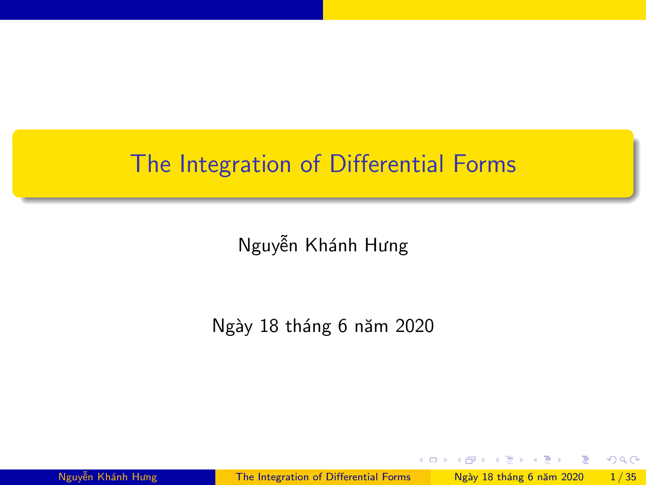## <span id="page-0-0"></span>The Integration of Differential Forms

Nguyễn Khánh Hưng

Ngày 18 tháng 6 năm 2020

**E** 

 $298$ 

**← ロ → → ← 何 →**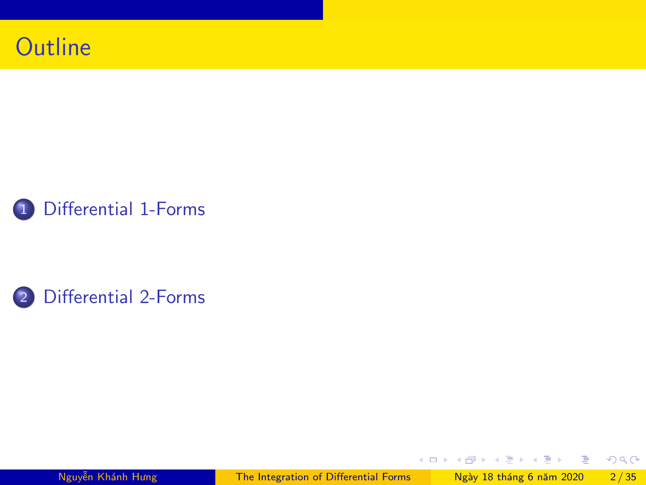





Nguyễn Khánh Hưng [The Integration of Differential Forms](#page-0-0) Ngày 18 tháng 6 năm 2020 2/35

重

 $298$ 

イロト イ部 トイヨ トイヨト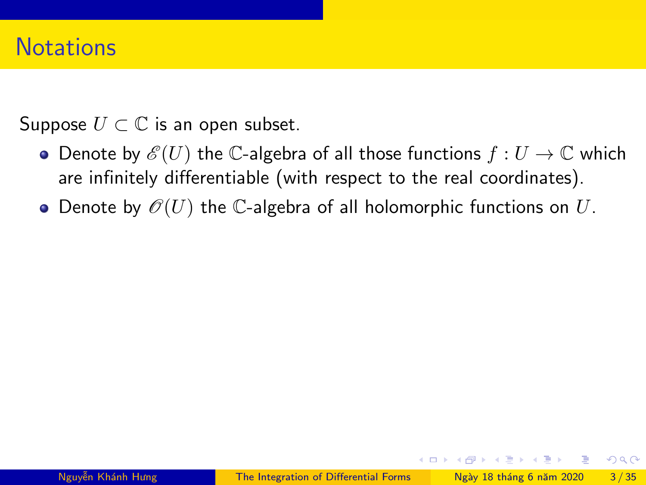## **Notations**

Suppose  $U \subset \mathbb{C}$  is an open subset.

- Denote by  $\mathscr{E}(U)$  the C-algebra of all those functions  $f:U\to\mathbb{C}$  which are infinitely differentiable (with respect to the real coordinates).
- Denote by  $\mathcal{O}(U)$  the C-algebra of all holomorphic functions on U.

 $QQQ$ 

 $\left\{ \begin{array}{ccc} \square & \times & \overline{c} & \overline{c} & \rightarrow & \overline{c} & \rightarrow & \overline{c} & \rightarrow & \overline{c} & \rightarrow & \overline{c} & \rightarrow & \overline{c} & \rightarrow & \overline{c} & \rightarrow & \overline{c} & \rightarrow & \overline{c} & \rightarrow & \overline{c} & \rightarrow & \overline{c} & \rightarrow & \overline{c} & \rightarrow & \overline{c} & \rightarrow & \overline{c} & \rightarrow & \overline{c} & \rightarrow & \overline{c} & \rightarrow & \overline{c} & \rightarrow & \overline{c} & \rightarrow & \overline{c} & \rightarrow & \overline{c}$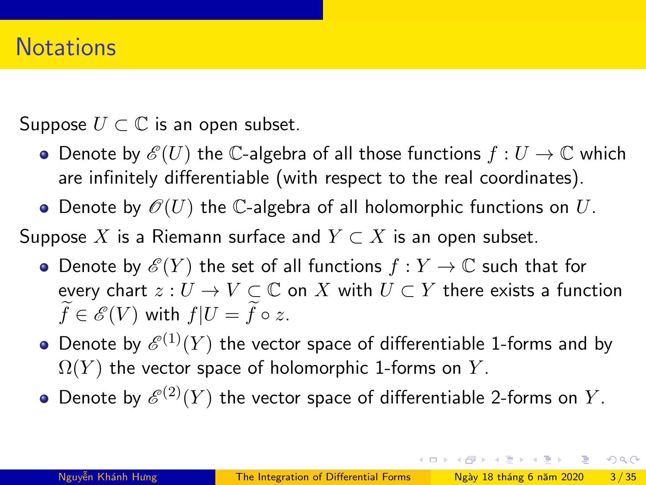Suppose  $U \subset \mathbb{C}$  is an open subset.

- Denote by  $\mathscr{E}(U)$  the C-algebra of all those functions  $f:U\to\mathbb{C}$  which are infinitely differentiable (with respect to the real coordinates).
- Denote by  $\mathcal{O}(U)$  the C-algebra of all holomorphic functions on U.

Suppose X is a Riemann surface and  $Y \subset X$  is an open subset.

- Denote by  $\mathscr{E}(Y)$  the set of all functions  $f: Y \to \mathbb{C}$  such that for every chart  $z: U \to V \subset \mathbb{C}$  on X with  $U \subset Y$  there exists a function  $f \in \mathscr{E}(V)$  with  $f|U = f \circ z$ .
- Denote by  ${\mathscr E}^{(1)}(Y)$  the vector space of differentiable 1-forms and by  $\Omega(Y)$  the vector space of holomorphic 1-forms on Y.
- Denote by  ${\mathscr E}^{(2)}(Y)$  the vector space of differentiable 2-forms on  $Y.$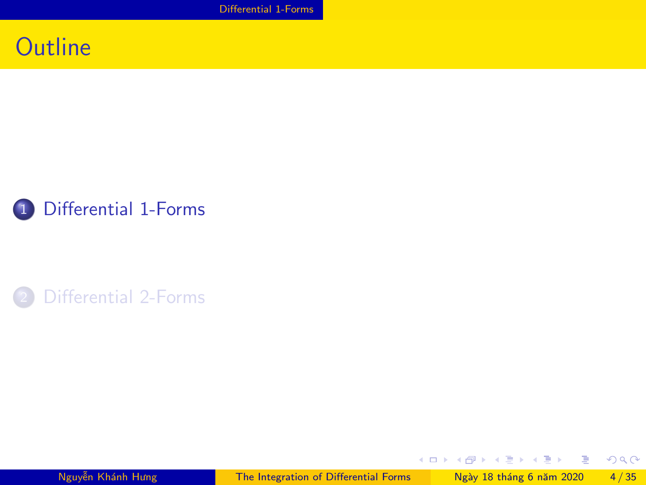[Differential 1-Forms](#page-4-0)

## <span id="page-4-0"></span>**Outline**



#### 2 [Differential 2-Forms](#page-24-0)

Nguyễn Khánh Hưng [The Integration of Differential Forms](#page-0-0) Ngày 18 tháng 6 năm 2020 4/35

重

 $298$ 

イロト イ部 トイヨ トイヨト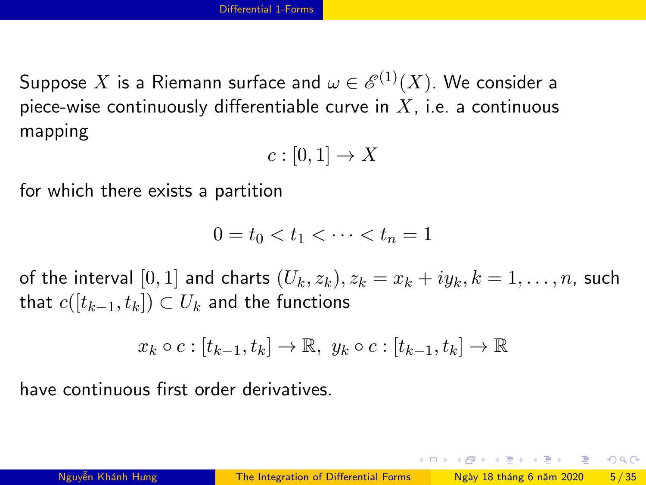Suppose  $X$  is a Riemann surface and  $\omega \in \mathscr{E}^{(1)}(X).$  We consider a piece-wise continuously differentiable curve in  $X$ , i.e. a continuous mapping

$$
c:[0,1]\to X
$$

for which there exists a partition

$$
0 = t_0 < t_1 < \dots < t_n = 1
$$

of the interval  $[0, 1]$  and charts  $(U_k, z_k)$ ,  $z_k = x_k + iy_k$ ,  $k = 1, \ldots, n$ , such that  $c([t_{k-1}, t_k]) \subset U_k$  and the functions

$$
x_k \circ c : [t_{k-1}, t_k] \to \mathbb{R}, y_k \circ c : [t_{k-1}, t_k] \to \mathbb{R}
$$

have continuous first order derivatives.

 $\Omega$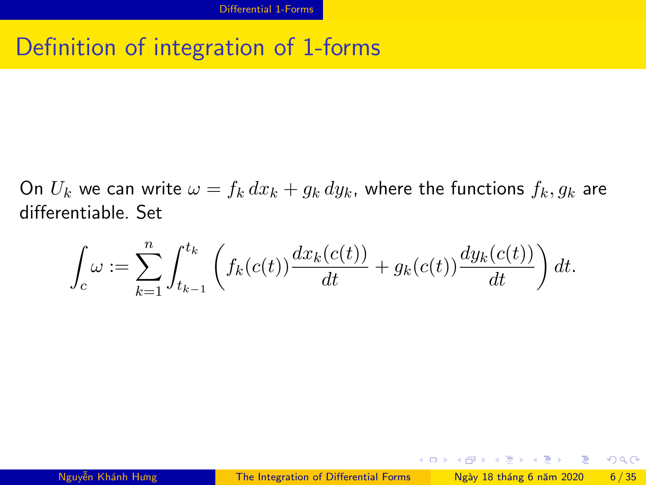## Definition of integration of 1-forms

On  $U_k$  we can write  $\omega = f_k dx_k + g_k dy_k$ , where the functions  $f_k, g_k$  are differentiable. Set

$$
\int_c \omega := \sum_{k=1}^n \int_{t_{k-1}}^{t_k} \left( f_k(c(t)) \frac{dx_k(c(t))}{dt} + g_k(c(t)) \frac{dy_k(c(t))}{dt} \right) dt.
$$

 $\Omega$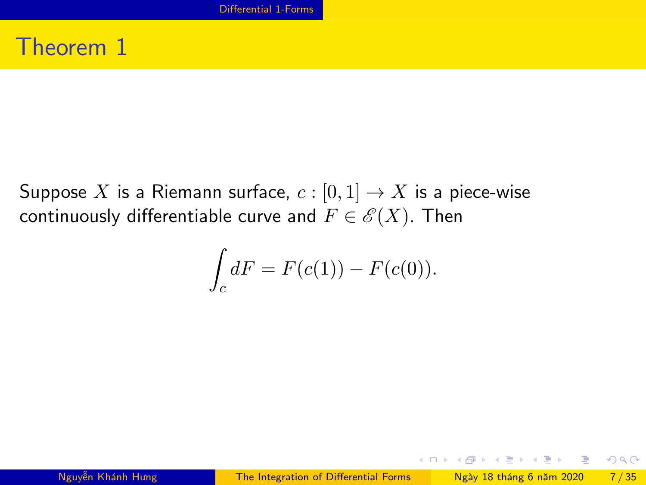## Theorem 1

Suppose X is a Riemann surface,  $c : [0,1] \rightarrow X$  is a piece-wise continuously differentiable curve and  $F \in \mathscr{E}(X)$ . Then

$$
\int_c dF = F(c(1)) - F(c(0)).
$$

 $QQ$ 

 $A \equiv \begin{pmatrix} 1 & 0 & 0 \\ 0 & 1 & 0 \\ 0 & 0 & 0 \end{pmatrix} \in A \Rightarrow A \equiv \begin{pmatrix} 1 & 0 & 0 \\ 0 & 1 & 0 \\ 0 & 0 & 0 \end{pmatrix} \in A$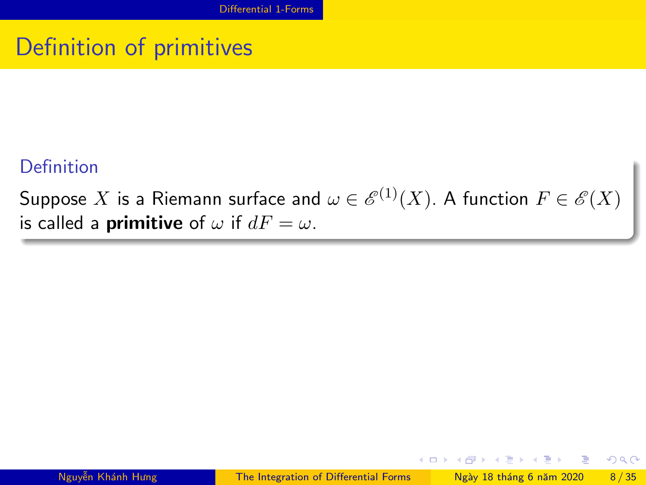## Definition of primitives

#### Definition

Suppose  $X$  is a Riemann surface and  $\omega \in \mathscr{E}^{(1)}(X).$  A function  $F \in \mathscr{E}(X)$ is called a **primitive** of  $\omega$  if  $dF = \omega$ .

 $QQQ$ 

イロト イ押ト イヨト イヨト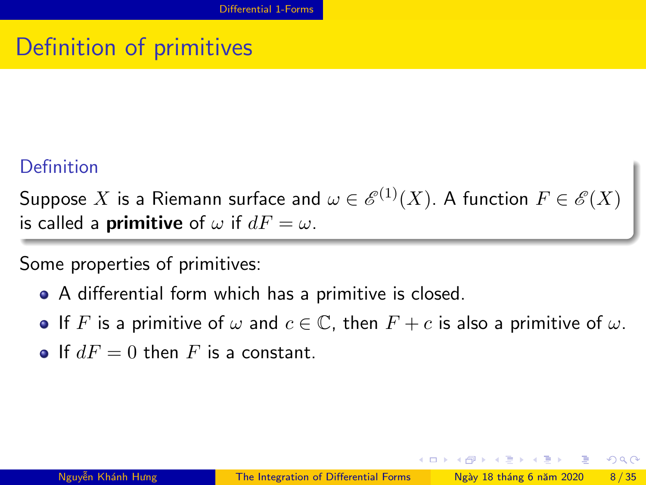# Definition of primitives

#### Definition

Suppose  $X$  is a Riemann surface and  $\omega \in \mathscr{E}^{(1)}(X).$  A function  $F \in \mathscr{E}(X)$ is called a **primitive** of  $\omega$  if  $dF = \omega$ .

Some properties of primitives:

- A differential form which has a primitive is closed.
- If F is a primitive of  $\omega$  and  $c \in \mathbb{C}$ , then  $F + c$  is also a primitive of  $\omega$ .
- **If**  $dF = 0$  then F is a constant.

 $QQQ$ 

イロト イ押ト イヨト イヨト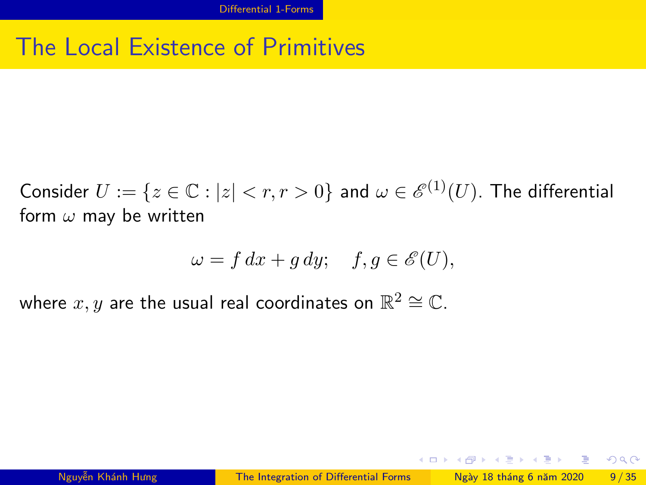## The Local Existence of Primitives

Consider  $U:=\{z\in\mathbb{C}:|z|< r, r>0\}$  and  $\omega\in \mathscr{E}^{(1)}(U).$  The differential form  $\omega$  may be written

$$
\omega = f \, dx + g \, dy; \quad f, g \in \mathscr{E}(U),
$$

where  $x,y$  are the usual real coordinates on  $\mathbb{R}^2 \cong \mathbb{C}.$ 

 $\Omega$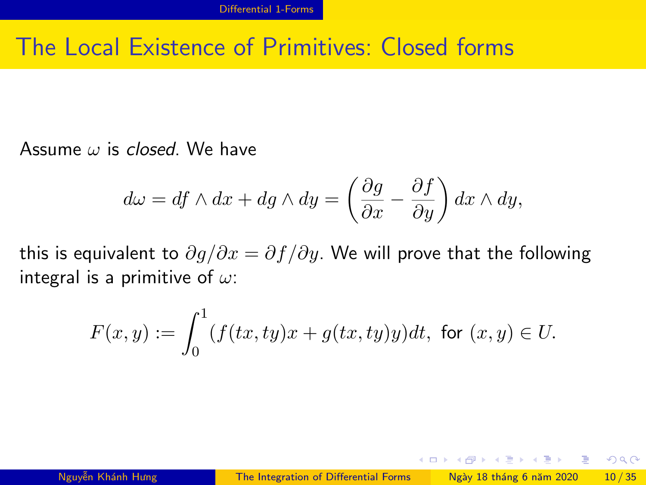## The Local Existence of Primitives: Closed forms

Assume  $\omega$  is closed. We have

$$
d\omega = df \wedge dx + dg \wedge dy = \left(\frac{\partial g}{\partial x} - \frac{\partial f}{\partial y}\right) dx \wedge dy,
$$

this is equivalent to  $\partial g/\partial x = \partial f/\partial y$ . We will prove that the following integral is a primitive of  $\omega$ :

$$
F(x,y) := \int_0^1 (f(tx, ty)x + g(tx, ty)y)dt, \text{ for } (x, y) \in U.
$$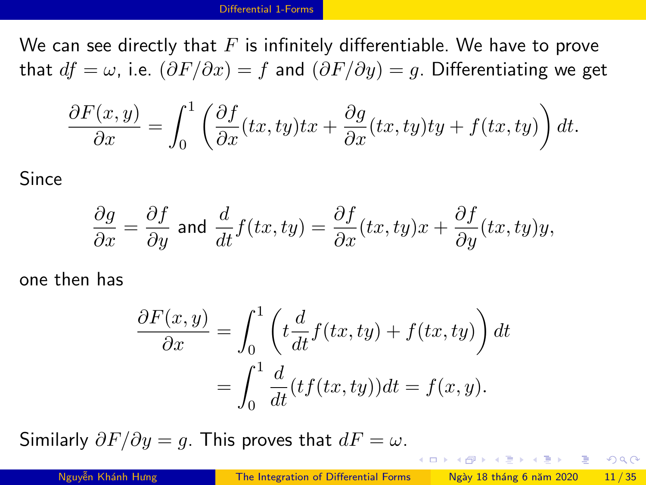We can see directly that  $F$  is infinitely differentiable. We have to prove that  $df = \omega$ , i.e.  $(\partial F/\partial x) = f$  and  $(\partial F/\partial y) = g$ . Differentiating we get

$$
\frac{\partial F(x,y)}{\partial x} = \int_0^1 \left( \frac{\partial f}{\partial x}(tx, ty)tx + \frac{\partial g}{\partial x}(tx, ty)ty + f(tx, ty) \right) dt.
$$

Since

$$
\frac{\partial g}{\partial x} = \frac{\partial f}{\partial y} \text{ and } \frac{d}{dt} f(tx, ty) = \frac{\partial f}{\partial x}(tx, ty)x + \frac{\partial f}{\partial y}(tx, ty)y,
$$

one then has

$$
\frac{\partial F(x,y)}{\partial x} = \int_0^1 \left( t \frac{d}{dt} f(tx, ty) + f(tx, ty) \right) dt
$$

$$
= \int_0^1 \frac{d}{dt} (tf(tx, ty)) dt = f(x, y).
$$

Similarly  $\partial F/\partial y = g$ . This proves that  $dF = \omega$ .

**KOD KOD KED KED DAR**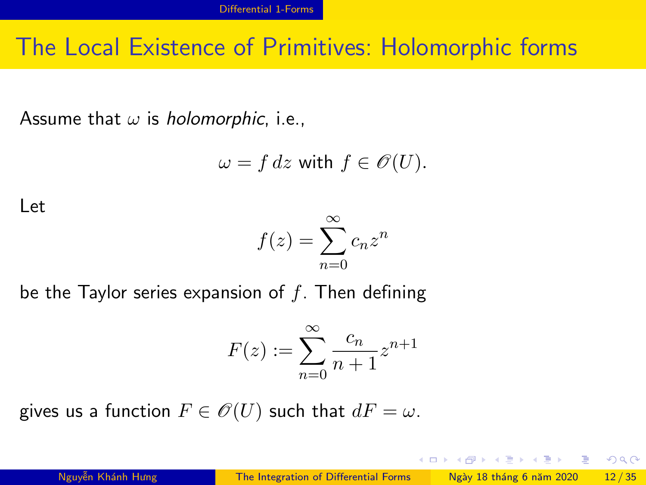## The Local Existence of Primitives: Holomorphic forms

Assume that  $\omega$  is holomorphic, i.e.,

$$
\omega = f\,dz \text{ with } f \in \mathscr{O}(U).
$$

Let

$$
f(z) = \sum_{n=0}^{\infty} c_n z^n
$$

be the Taylor series expansion of  $f$ . Then defining

$$
F(z) := \sum_{n=0}^{\infty} \frac{c_n}{n+1} z^{n+1}
$$

gives us a function  $F \in \mathcal{O}(U)$  such that  $dF = \omega$ .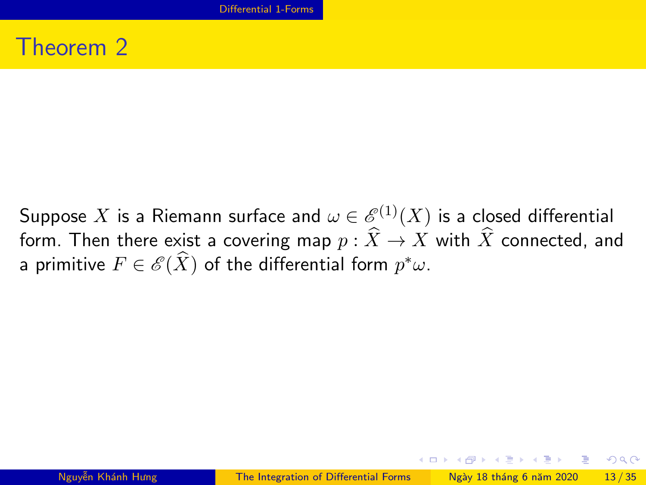## Theorem 2

Suppose  $X$  is a Riemann surface and  $\omega \in \mathscr{E}^{(1)}(X)$  is a closed differential form. Then there exist a covering map  $p : \widehat{X} \to X$  with  $\widehat{X}$  connected, and a primitive  $F\in\mathscr{E}(\widehat{X})$  of the differential form  $p^*\omega$ .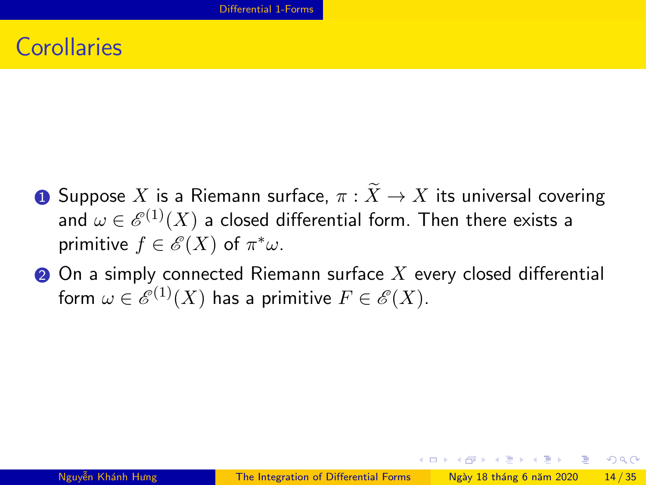## **Corollaries**

- **1** Suppose X is a Riemann surface,  $\pi : \widetilde{X} \to X$  its universal covering and  $\omega \in \mathscr{E}^{(1)}(X)$  a closed differential form. Then there exists a primitive  $f \in \mathscr{E}(X)$  of  $\pi^* \omega$ .
- $\bullet$  On a simply connected Riemann surface X every closed differential form  $\omega \in \mathscr{E}^{(1)}(X)$  has a primitive  $F \in \mathscr{E}(X).$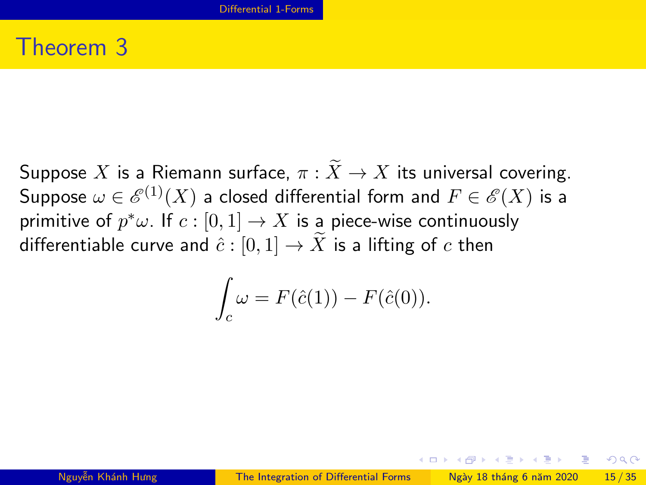### Theorem 3

Suppose X is a Riemann surface,  $\pi : \widetilde{X} \to X$  its universal covering. Suppose  $\omega \in \mathscr{E}^{(1)}(X)$  a closed differential form and  $F \in \mathscr{E}(X)$  is a primitive of  $p^*\omega$ . If  $c:[0,1]\to X$  is a piece-wise continuously differentiable curve and  $\hat{c} : [0,1] \to \overline{X}$  is a lifting of c then

$$
\int_c \omega = F(\hat{c}(1)) - F(\hat{c}(0)).
$$

 $\Omega$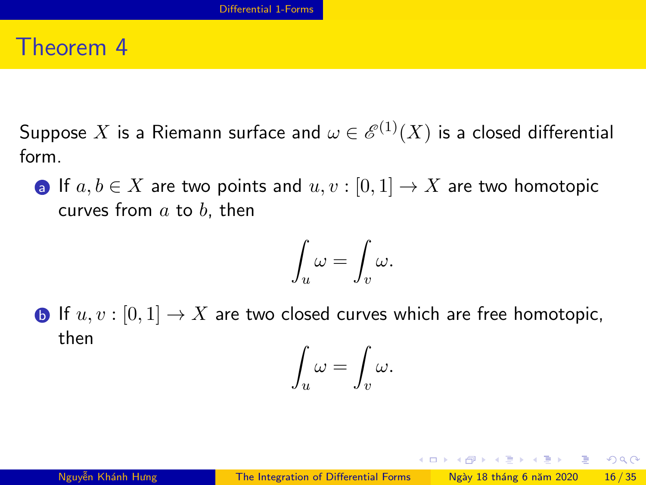#### Theorem 4

Suppose  $X$  is a Riemann surface and  $\omega \in \mathscr{E}^{(1)}(X)$  is a closed differential form.

a If  $a, b \in X$  are two points and  $u, v : [0, 1] \to X$  are two homotopic curves from  $a$  to  $b$ , then

$$
\int_u \omega = \int_v \omega.
$$

**b** If  $u, v : [0, 1] \rightarrow X$  are two closed curves which are free homotopic, then  $\epsilon$  $\epsilon$ 

$$
\int_u \omega = \int_v \omega.
$$

**KOD KAR KED KED E VAN**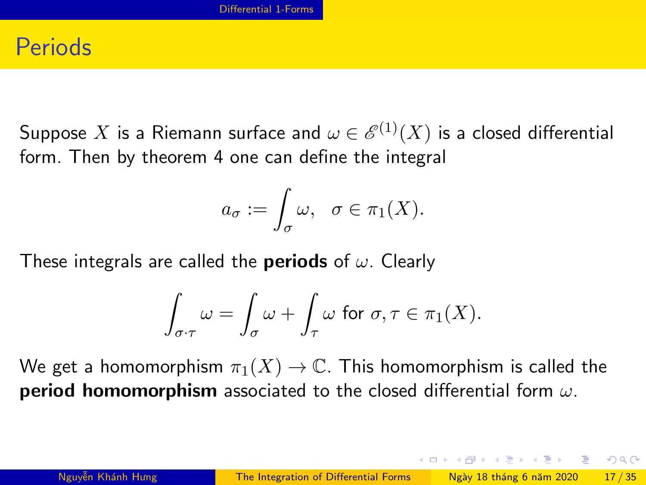#### **Periods**

Suppose  $X$  is a Riemann surface and  $\omega \in \mathscr{E}^{(1)}(X)$  is a closed differential form. Then by theorem 4 one can define the integral

$$
a_{\sigma} := \int_{\sigma} \omega, \quad \sigma \in \pi_1(X).
$$

These integrals are called the **periods** of  $\omega$ . Clearly

$$
\int_{\sigma\cdot\tau}\omega=\int_{\sigma}\omega+\int_{\tau}\omega\,\text{ for }\sigma,\tau\in\pi_1(X).
$$

We get a homomorphism  $\pi_1(X) \to \mathbb{C}$ . This homomorphism is called the period homomorphism associated to the closed differential form  $\omega$ .

 $\Omega$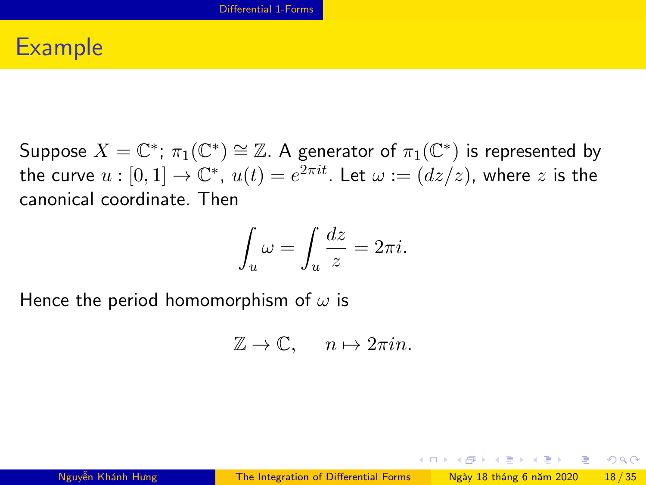## Example

Suppose  $X=\mathbb{C}^*; \, \pi_1(\mathbb{C}^*)\cong \mathbb{Z}.$  A generator of  $\pi_1(\mathbb{C}^*)$  is represented by the curve  $u:[0,1]\to\mathbb{C}^*,\ u(t)=e^{2\pi it}.$  Let  $\omega:=(dz/z)$ , where  $z$  is the canonical coordinate. Then

$$
\int_u \omega = \int_u \frac{dz}{z} = 2\pi i.
$$

Hence the period homomorphism of  $\omega$  is

$$
\mathbb{Z} \to \mathbb{C}, \quad n \mapsto 2\pi i n.
$$

 $\Omega$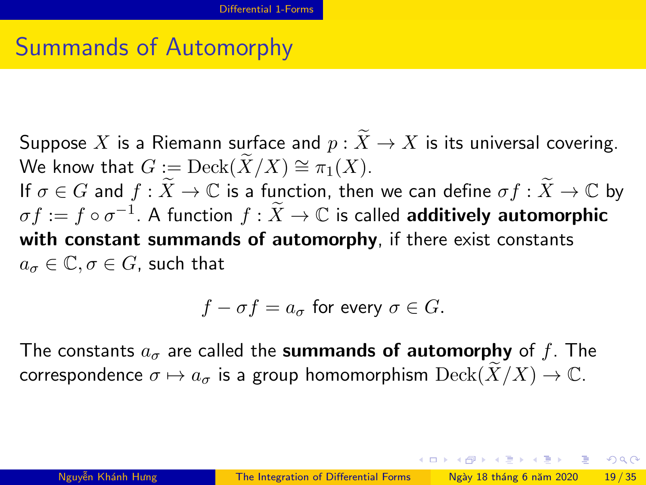# Summands of Automorphy

Suppose X is a Riemann surface and  $p : \widetilde{X} \to X$  is its universal covering. We know that  $G := \text{Deck}(\widetilde{X}/X) \cong \pi_1(X)$ . If  $\sigma \in G$  and  $f : \widetilde{X} \to \mathbb{C}$  is a function, then we can define  $\sigma f : \widetilde{X} \to \mathbb{C}$  by  $\sigma f := f \circ \sigma^{-1}$ . A function  $f : \widetilde{X} \to \mathbb{C}$  is called **additively automorphic** with constant summands of automorphy, if there exist constants  $a_{\sigma} \in \mathbb{C}$ ,  $\sigma \in G$ , such that

$$
f - \sigma f = a_{\sigma}
$$
 for every  $\sigma \in G$ .

The constants  $a_{\sigma}$  are called the **summands of automorphy** of f. The correspondence  $\sigma \mapsto a_{\sigma}$  is a group homomorphism  $\mathrm{Deck}(\widetilde{X}/X) \to \mathbb{C}$ .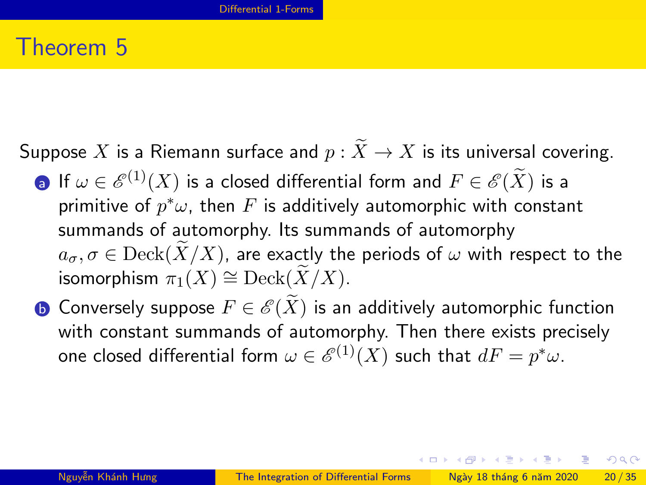## Theorem 5

Suppose X is a Riemann surface and  $p : \widetilde{X} \to X$  is its universal covering.

- **a** If  $\omega \in \mathcal{E}^{(1)}(X)$  is a closed differential form and  $F \in \mathcal{E}(X)$  is a primitive of  $p^*\omega$ , then  $F$  is additively automorphic with constant summands of automorphy. Its summands of automorphy  $a_{\sigma}, \sigma \in \mathrm{Deck}(X/X)$ , are exactly the periods of  $\omega$  with respect to the isomorphism  $\pi_1(X) \cong \text{Deck}(X/X)$ .
- **b** Conversely suppose  $F \in \mathscr{E}(X)$  is an additively automorphic function with constant summands of automorphy. Then there exists precisely one closed differential form  $\omega \in \mathscr{E}^{(1)}(X)$  such that  $dF = p^*\omega.$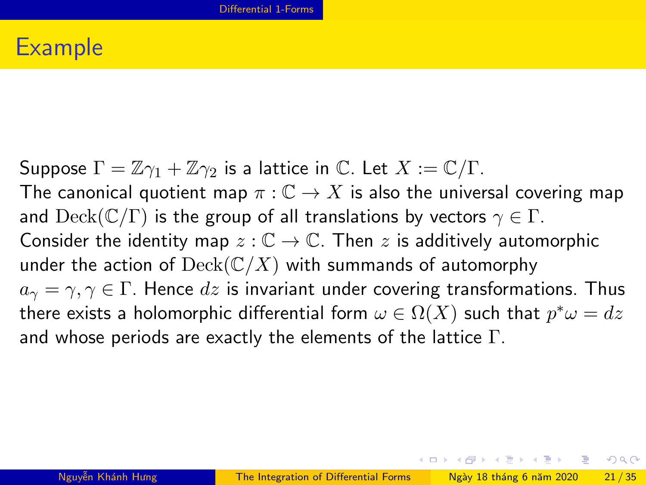## Example

Suppose  $\Gamma = \mathbb{Z}\gamma_1 + \mathbb{Z}\gamma_2$  is a lattice in  $\mathbb{C}$ . Let  $X := \mathbb{C}/\Gamma$ . The canonical quotient map  $\pi : \mathbb{C} \to X$  is also the universal covering map and  $\mathrm{Deck}(\mathbb{C}/\Gamma)$  is the group of all translations by vectors  $\gamma \in \Gamma$ . Consider the identity map  $z : \mathbb{C} \to \mathbb{C}$ . Then z is additively automorphic under the action of  $\mathrm{Deck}(\mathbb{C}/X)$  with summands of automorphy  $a_{\gamma} = \gamma, \gamma \in \Gamma$ . Hence dz is invariant under covering transformations. Thus there exists a holomorphic differential form  $\omega \in \Omega(X)$  such that  $p^*\omega=dz$ and whose periods are exactly the elements of the lattice  $\Gamma$ .

**KOD KOD KED KED DAR**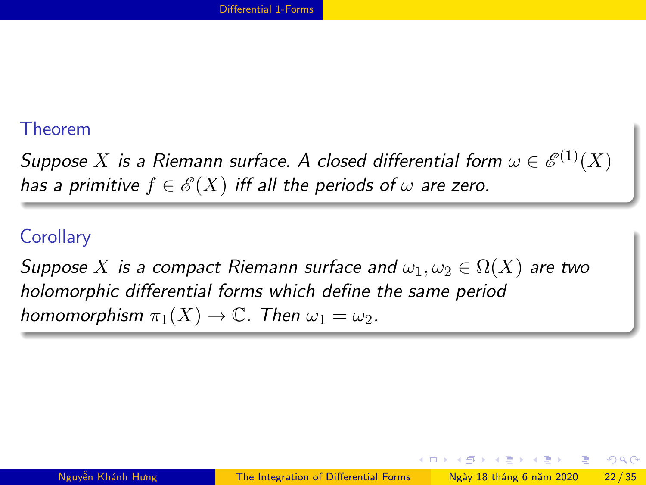#### Theorem

Suppose  $X$  is a Riemann surface. A closed differential form  $\omega \in \mathscr{E}^{(1)}(X)$ has a primitive  $f \in \mathscr{E}(X)$  iff all the periods of  $\omega$  are zero.

#### **Corollary**

Suppose X is a compact Riemann surface and  $\omega_1, \omega_2 \in \Omega(X)$  are two holomorphic differential forms which define the same period homomorphism  $\pi_1(X) \to \mathbb{C}$ . Then  $\omega_1 = \omega_2$ .

4 0 F

化重新润滑脂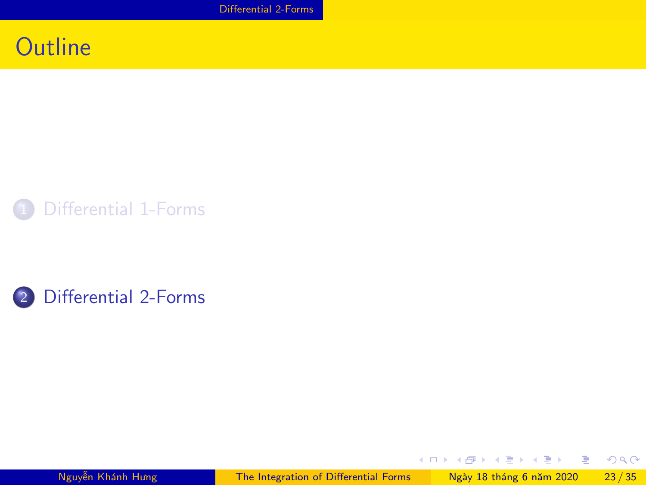## <span id="page-24-0"></span>**Outline**





Nguyễn Khánh Hưng [The Integration of Differential Forms](#page-0-0) Ngày 18 tháng 6 năm 2020 23/35

 $4$  ロ )  $4$   $\oplus$  )  $4$   $\oplus$  )  $4$   $\oplus$  )

 $298$ 

重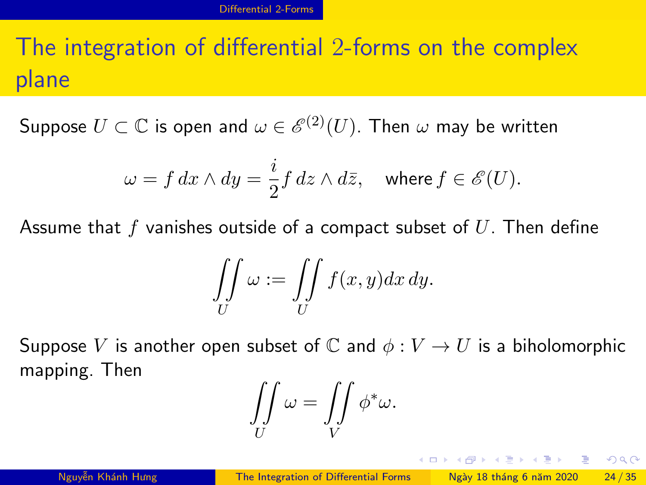# The integration of differential 2-forms on the complex plane

Suppose  $U\subset \mathbb{C}$  is open and  $\omega\in \mathscr{E}^{(2)}(U).$  Then  $\omega$  may be written

$$
\omega = f dx \wedge dy = \frac{i}{2} f dz \wedge d\overline{z}, \quad \text{where } f \in \mathscr{E}(U).
$$

Assume that  $f$  vanishes outside of a compact subset of  $U$ . Then define

$$
\iint\limits_U \omega := \iint\limits_U f(x,y) dx dy.
$$

Suppose V is another open subset of C and  $\phi: V \to U$  is a biholomorphic mapping. Then

$$
\iint\limits_U \omega = \iint\limits_V \phi^* \omega.
$$

**KOD KAR KED KED E VAN**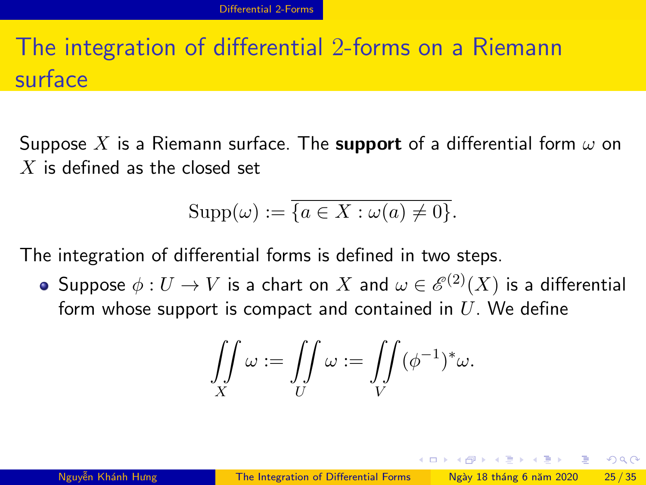# The integration of differential 2-forms on a Riemann surface

Suppose X is a Riemann surface. The **support** of a differential form  $\omega$  on  $X$  is defined as the closed set

$$
Supp(\omega) := \overline{\{a \in X : \omega(a) \neq 0\}}.
$$

The integration of differential forms is defined in two steps.

Suppose  $\phi:U\to V$  is a chart on  $X$  and  $\omega\in \mathscr{E}^{(2)}(X)$  is a differential form whose support is compact and contained in  $U$ . We define

$$
\iint\limits_X \omega := \iint\limits_U \omega := \iint\limits_V (\phi^{-1})^*\omega.
$$

 $\Omega$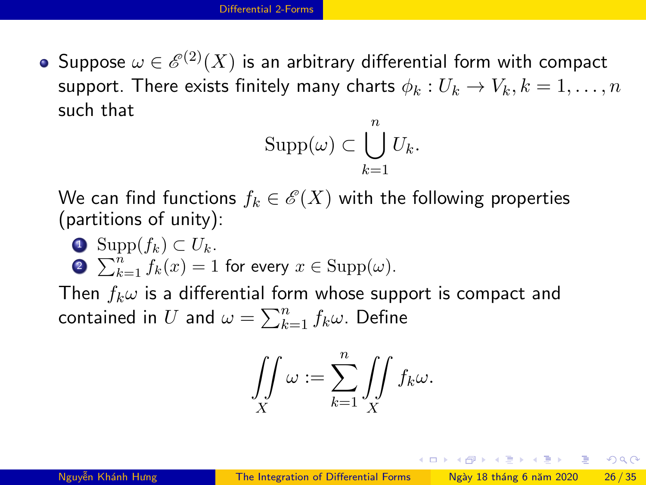Suppose  $\omega \in \mathscr{E}^{(2)}(X)$  is an arbitrary differential form with compact support. There exists finitely many charts  $\phi_k: U_k \to V_k, k = 1, \ldots, n$ such that

$$
\mathrm{Supp}(\omega) \subset \bigcup_{k=1}^n U_k.
$$

We can find functions  $f_k \in \mathscr{E}(X)$  with the following properties (partitions of unity):

**4** Supp $(f_k)$  ⊂  $U_k$ . **2**  $\sum_{k=1}^{n} f_k(x) = 1$  for every  $x \in \text{Supp}(\omega)$ .

Then  $f_k \omega$  is a differential form whose support is compact and contained in  $U$  and  $\omega = \sum_{k=1}^n f_k \omega$ . Define

$$
\iint\limits_X \omega := \sum\limits_{k=1}^n \iint\limits_X f_k \omega.
$$

**KOD KOD KED KED E VAN**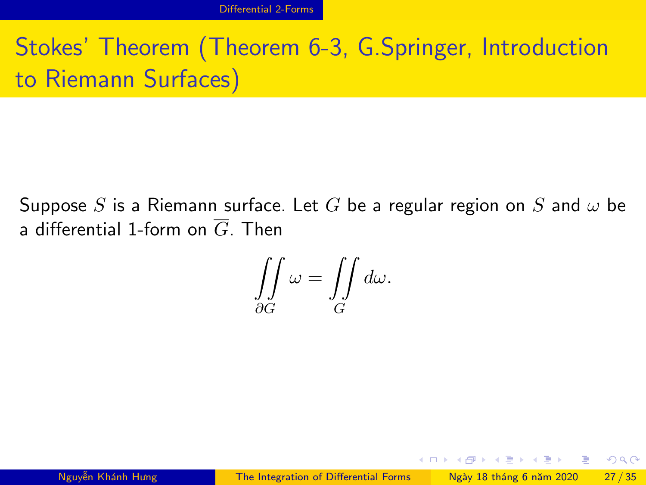# Stokes' Theorem (Theorem 6-3, G.Springer, Introduction to Riemann Surfaces)

Suppose S is a Riemann surface. Let G be a regular region on S and  $\omega$  be a differential 1-form on  $\overline{G}$  Then

$$
\iint\limits_{\partial G}\omega = \iint\limits_{G}d\omega.
$$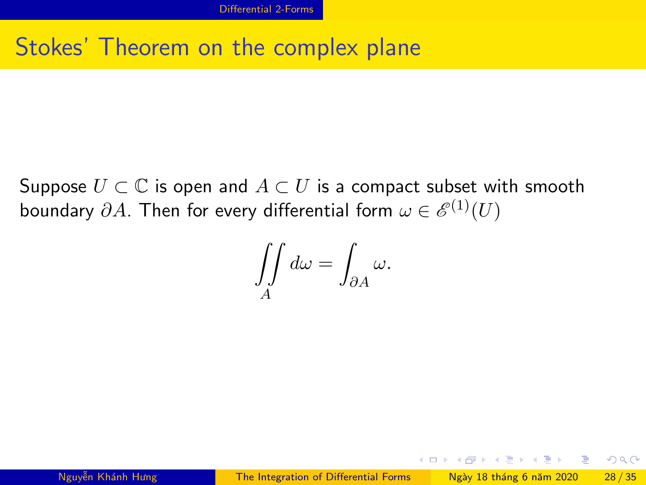## Stokes' Theorem on the complex plane

Suppose  $U \subset \mathbb{C}$  is open and  $A \subset U$  is a compact subset with smooth boundary  $\partial A$ . Then for every differential form  $\omega \in \mathscr{E}^{(1)}(U)$ 

$$
\iint\limits_A d\omega = \int_{\partial A} \omega.
$$

 $A \equiv 1 + A \pmod{A} \Rightarrow A \equiv 1 + A \equiv 1 + \cdots \equiv 1$ 

 $QQ$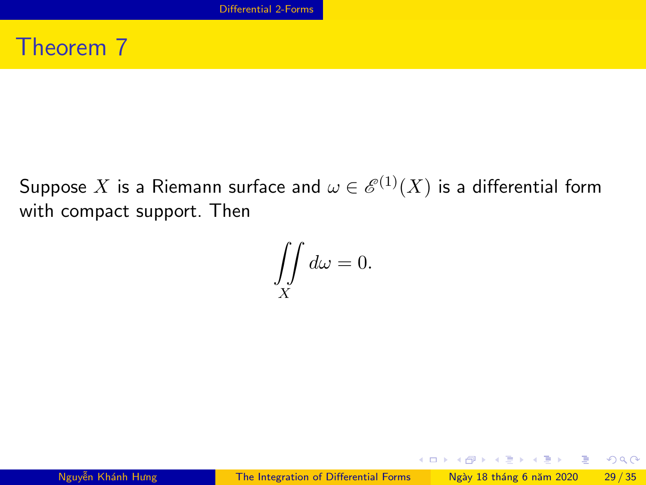## Theorem 7

Suppose  $X$  is a Riemann surface and  $\omega \in \mathscr{E}^{(1)}(X)$  is a differential form with compact support. Then

$$
\iint\limits_X d\omega = 0.
$$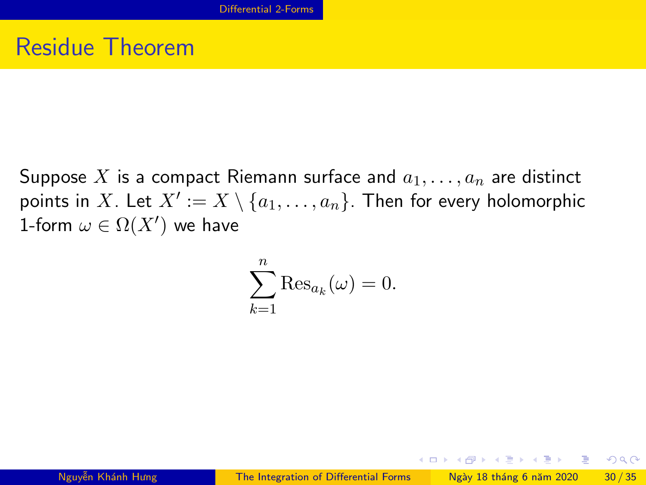## Residue Theorem

Suppose X is a compact Riemann surface and  $a_1, \ldots, a_n$  are distinct points in  $X.$  Let  $X':= X \setminus \{a_1, \ldots, a_n\}.$  Then for every holomorphic 1-form  $\omega \in \Omega(X')$  we have

$$
\sum_{k=1}^{n} \text{Res}_{a_k}(\omega) = 0.
$$

 $A \equiv 1 + A \pmod{A} \Rightarrow A \equiv 1 + A \equiv 1 + \cdots \equiv 1$ 

 $\Omega$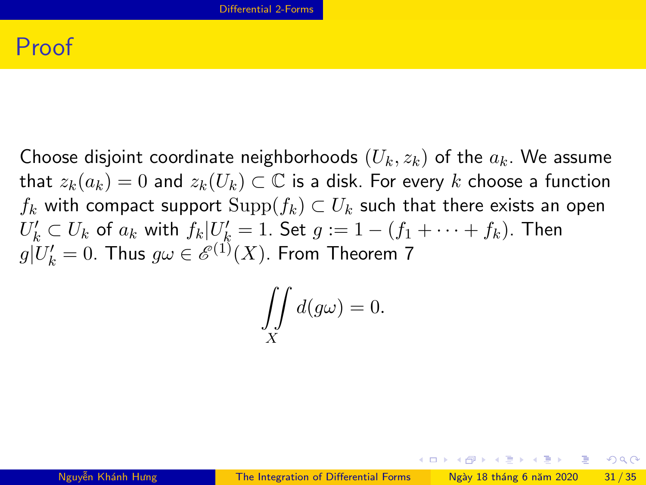## Proof

Choose disjoint coordinate neighborhoods  $(U_k, z_k)$  of the  $a_k$ . We assume that  $z_k(a_k) = 0$  and  $z_k(U_k) \subset \mathbb{C}$  is a disk. For every k choose a function  $f_k$  with compact support  $\text{Supp}(f_k) \subset U_k$  such that there exists an open  $U'_k\subset U_k$  of  $a_k$  with  $f_k|U'_k=1.$  Set  $g:=1-(f_1+\cdots+f_k).$  Then  $g|U_k'=0$ . Thus  $g\omega\in \mathscr{E}^{(1)}(X)$ . From Theorem 7

$$
\iint\limits_X d(g\omega) = 0.
$$

**KOD KOD KED KED DAR**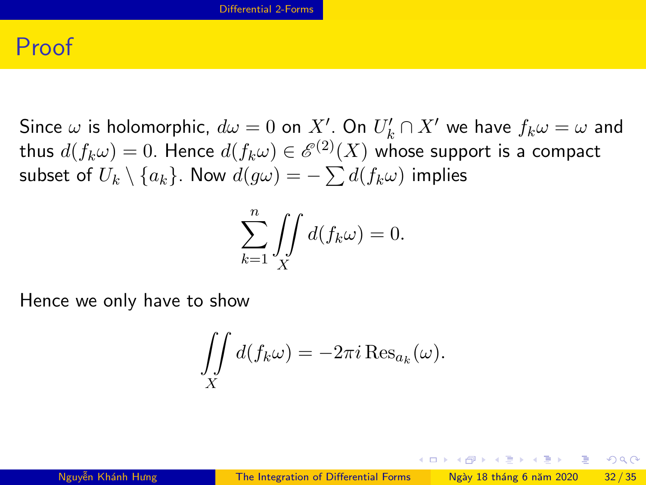### Proof

Since  $\omega$  is holomorphic,  $d\omega = 0$  on  $X'$ . On  $U'_k \cap X'$  we have  $f_k \omega = \omega$  and thus  $d(f_k\omega)=0.$  Hence  $d(f_k\omega)\in \mathscr{E}^{(2)}(X)$  whose support is a compact subset of  $U_k\setminus\{a_k\}.$  Now  $d(g\omega)=-\sum d(f_k\omega)$  implies

$$
\sum_{k=1}^{n} \iint\limits_{X} d(f_k \omega) = 0.
$$

Hence we only have to show

$$
\iint\limits_X d(f_k \omega) = -2\pi i \operatorname{Res}_{a_k}(\omega).
$$

 $\Omega$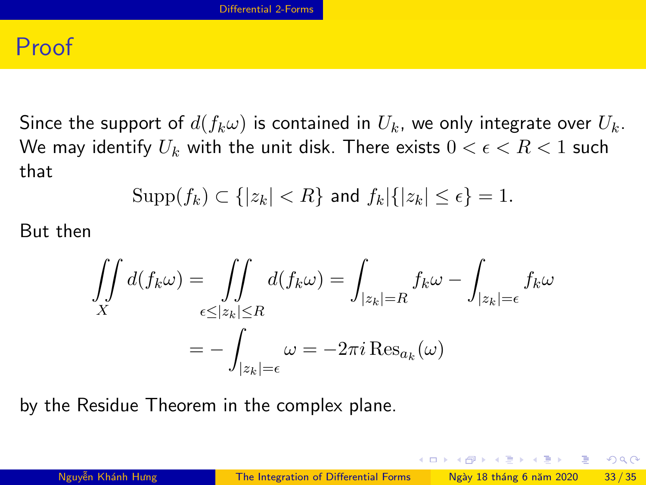### Proof

Since the support of  $d(f_k\omega)$  is contained in  $U_k$ , we only integrate over  $U_k$ . We may identify  $U_k$  with the unit disk. There exists  $0 < \epsilon < R < 1$  such that

$$
\mathrm{Supp}(f_k) \subset \{|z_k| < R\} \text{ and } f_k|\{|z_k| \le \epsilon\} = 1.
$$

But then

$$
\iint\limits_X d(f_k \omega) = \iint\limits_{\epsilon \le |z_k| \le R} d(f_k \omega) = \int_{|z_k| = R} f_k \omega - \int_{|z_k| = \epsilon} f_k \omega
$$

$$
= - \int_{|z_k| = \epsilon} \omega = -2\pi i \operatorname{Res}_{a_k}(\omega)
$$

by the Residue Theorem in the complex plane.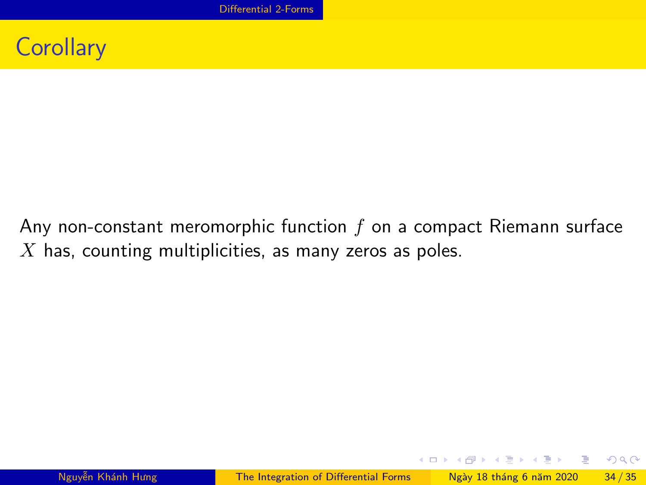

Any non-constant meromorphic function  $f$  on a compact Riemann surface  $X$  has, counting multiplicities, as many zeros as poles.

K ロ > K d > K 글 > K 글 > H 글

 $ORO$